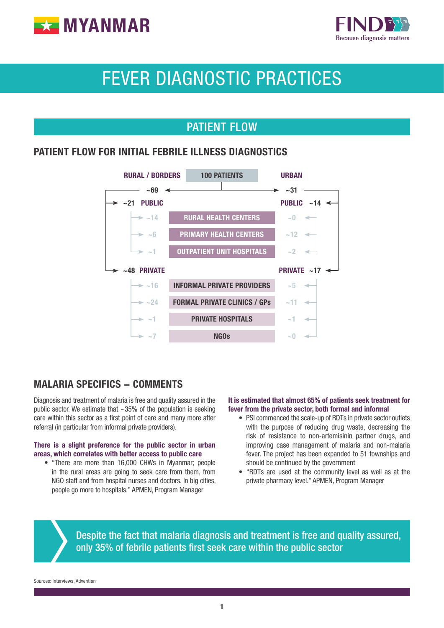



# FEVER DIAGNOSTIC PRACTICES

## PATIENT FLOW

#### PATIENT FLOW FOR INITIAL FEBRILE ILLNESS DIAGNOSTICS



#### MALARIA SPECIFICS - COMMENTS

Diagnosis and treatment of malaria is free and quality assured in the public sector. We estimate that  $\sim$ 35% of the population is seeking care within this sector as a first point of care and many more after referral (in particular from informal private providers).

#### There is a slight preference for the public sector in urban areas, which correlates with better access to public care

• "There are more than 16,000 CHWs in Myanmar; people in the rural areas are going to seek care from them, from NGO staff and from hospital nurses and doctors. In big cities, people go more to hospitals." APMEN, Program Manager

#### It is estimated that almost 65% of patients seek treatment for fever from the private sector, both formal and informal

- PSI commenced the scale-up of RDTs in private sector outlets with the purpose of reducing drug waste, decreasing the risk of resistance to non-artemisinin partner drugs, and improving case management of malaria and non-malaria fever. The project has been expanded to 51 townships and should be continued by the government
- "RDTs are used at the community level as well as at the private pharmacy level." APMEN, Program Manager

Despite the fact that malaria diagnosis and treatment is free and quality assured, only 35% of febrile patients first seek care within the public sector

Sources: Interviews, Advention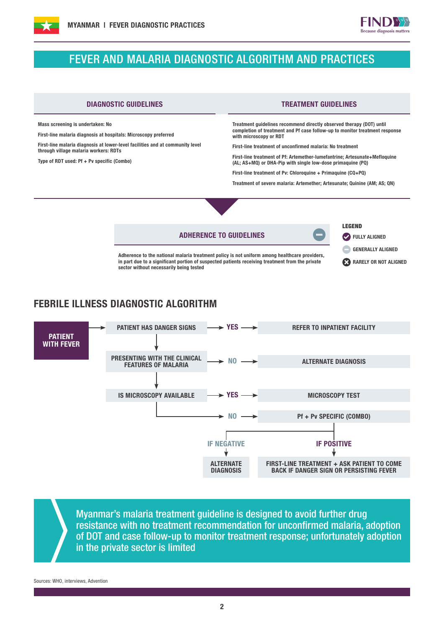

### FEVER AND MALARIA DIAGNOSTIC ALGORITHM AND PRACTICES



#### FEBRILE ILLNESS DIAGNOSTIC ALGORITHM



Myanmar's malaria treatment guideline is designed to avoid further drug resistance with no treatment recommendation for unconfirmed malaria, adoption of DOT and case follow-up to monitor treatment response; unfortunately adoption in the private sector is limited

Sources: WHO, interviews, Advention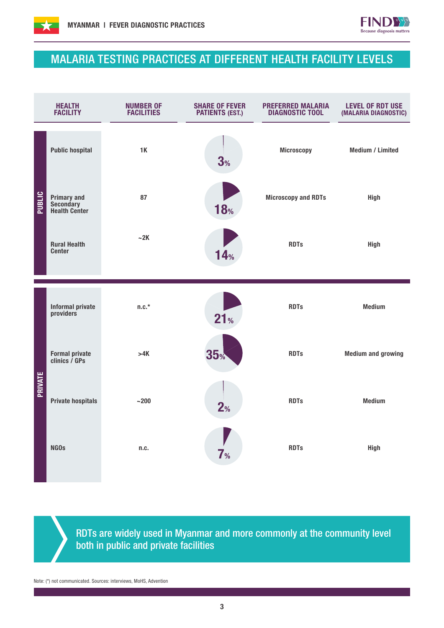



## MALARIA TESTING PRACTICES AT DIFFERENT HEALTH FACILITY LEVELS

| <b>HEALTH</b><br><b>FACILITY</b> |                                                    | <b>NUMBER OF</b><br><b>FACILITIES</b> | <b>SHARE OF FEVER</b><br><b>PATIENTS (EST.)</b> | <b>PREFERRED MALARIA</b><br><b>DIAGNOSTIC TOOL</b> | <b>LEVEL OF RDT USE</b><br>(MALARIA DIAGNOSTIC) |  |
|----------------------------------|----------------------------------------------------|---------------------------------------|-------------------------------------------------|----------------------------------------------------|-------------------------------------------------|--|
| PUBLIC                           | <b>Public hospital</b>                             | 1K                                    | 3%                                              | <b>Microscopy</b>                                  | <b>Medium / Limited</b>                         |  |
|                                  | <b>Primary and<br/>Secondary<br/>Health Center</b> | 87                                    | <b>18%</b>                                      | <b>Microscopy and RDTs</b>                         | <b>High</b>                                     |  |
|                                  | <b>Rural Health</b><br><b>Center</b>               | $-2K$                                 | 14%                                             | <b>RDTs</b>                                        | <b>High</b>                                     |  |
|                                  | <b>Informal private</b><br>providers               | $n.c.*$                               |                                                 |                                                    | <b>Medium</b>                                   |  |
| <b>PRIVATE</b>                   |                                                    |                                       | 21 <sub>%</sub>                                 | <b>RDTs</b>                                        |                                                 |  |
|                                  | Formal private<br>clinics / GPs                    | >4K                                   | 35 <sub>%</sub>                                 | <b>RDTs</b>                                        | <b>Medium and growing</b>                       |  |
|                                  | <b>Private hospitals</b>                           | $~1 - 200$                            | 2 <sub>%</sub>                                  | <b>RDTs</b>                                        | <b>Medium</b>                                   |  |
|                                  | <b>NGOs</b>                                        | n.c.                                  | 7 <sub>%</sub>                                  | <b>RDTs</b>                                        | <b>High</b>                                     |  |
|                                  |                                                    |                                       |                                                 |                                                    |                                                 |  |

RDTs are widely used in Myanmar and more commonly at the community level both in public and private facilities

Note: (\*) not communicated. Sources: interviews, MoHS, Advention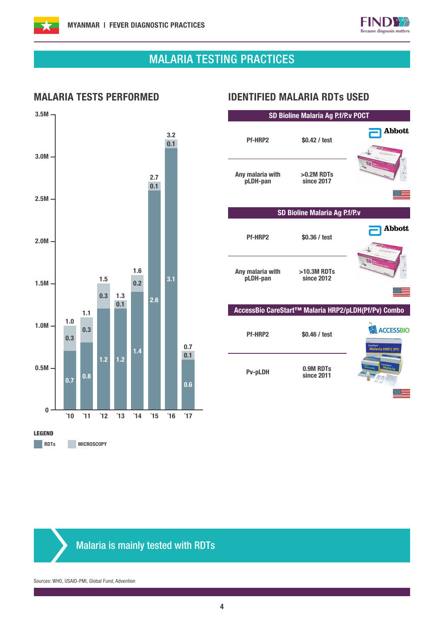



**Abbott** 

<u> 23 - 1</u>

 $\equiv$ 

## MALARIA TESTING PRACTICES



#### MALARIA TESTS PERFORMED IDENTIFIED MALARIA RDTs USED

Pf-HRP2 \$0.42 / test

SD Bioline Malaria Ag P.f/P.v POCT

Any malaria with >0.2M RDTs since 2017 pLDH-pan SD Bioline Malaria Ag P.f/P.v **Abbott** Pf-HRP2 \$0.36 / test Any malaria with >10.3M RDTs pLDH-pan since 2012 ंच AccessBio CareStart™ Malaria HRP2/pLDH(Pf/Pv) Combo **ACCESSBIO** Pf-HRP2 \$0.46 / test a HRP2 (Pf) Pv-pLDH 0.9M RDTs since 2011

### Malaria is mainly tested with RDTs

Sources: WHO, USAID-PMI, Global Fund, Advention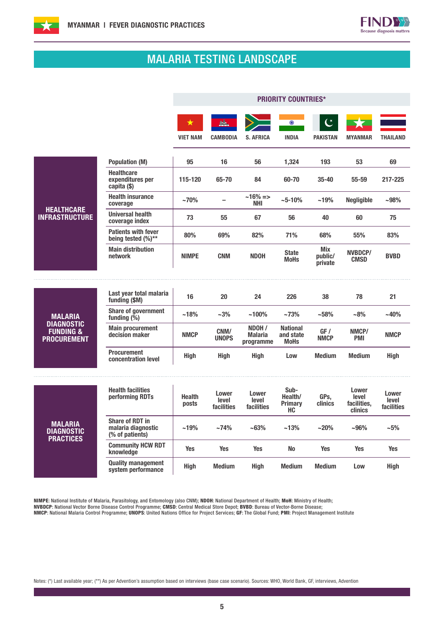



## MALARIA TESTING LANDSCAPE

r.

|                                                                 |                                                                 | <b>PRIORITY COUNTRIES*</b> |                              |                                       |                                             |                                  |                                          |                              |  |
|-----------------------------------------------------------------|-----------------------------------------------------------------|----------------------------|------------------------------|---------------------------------------|---------------------------------------------|----------------------------------|------------------------------------------|------------------------------|--|
|                                                                 |                                                                 | ★<br><b>VIET NAM</b>       | <b>CAMBODIA</b>              | <b>S. AFRICA</b>                      | $\odot$<br><b>INDIA</b>                     | <b>PAKISTAN</b>                  | <b>MYANMAR</b>                           | <b>THAILAND</b>              |  |
|                                                                 | <b>Population (M)</b>                                           | 95                         | 16                           | 56                                    | 1,324                                       | 193                              | 53                                       | 69                           |  |
|                                                                 | <b>Healthcare</b><br>expenditures per<br>capita (\$)            | 115-120                    | 65-70                        | 84                                    | 60-70                                       | $35 - 40$                        | 55-59                                    | 217-225                      |  |
|                                                                 | <b>Health insurance</b><br>coverage                             | $~10\%$                    |                              | $~16\% = >$<br>NHI                    | $~10\%$                                     | ~19%                             | <b>Negligible</b>                        | $-98%$                       |  |
| <b>HEALTHCARE</b><br><b>INFRASTRUCTURE</b>                      | <b>Universal health</b><br>coverage index                       | 73                         | 55                           | 67                                    | 56                                          | 40                               | 60                                       | 75                           |  |
|                                                                 | <b>Patients with fever</b><br>being tested (%)**                | 80%                        | 69%                          | 82%                                   | 71%                                         | 68%                              | 55%                                      | 83%                          |  |
|                                                                 | <b>Main distribution</b><br>network                             | <b>NIMPE</b>               | <b>CNM</b>                   | <b>NDOH</b>                           | <b>State</b><br><b>MoHs</b>                 | <b>Mix</b><br>public/<br>private | <b>NVBDCP/</b><br><b>CMSD</b>            | <b>BVBD</b>                  |  |
|                                                                 |                                                                 |                            |                              |                                       |                                             |                                  |                                          |                              |  |
|                                                                 | Last year total malaria<br>funding (\$M)                        | 16                         | 20                           | 24                                    | 226                                         | 38                               | 78                                       | 21                           |  |
| <b>MALARIA</b>                                                  | <b>Share of government</b><br>funding $(\frac{\alpha}{6})$      | ~18%                       | $~1.3\%$                     | $~100\%$                              | ~173%                                       | ~158%                            | $-8%$                                    | ~140%                        |  |
| <b>DIAGNOSTIC</b><br><b>FUNDING &amp;</b><br><b>PROCUREMENT</b> | <b>Main procurement</b><br>decision maker                       | <b>NMCP</b>                | CNM/<br><b>UNOPS</b>         | NDOH /<br><b>Malaria</b><br>programme | <b>National</b><br>and state<br><b>MoHs</b> | GF /<br><b>NMCP</b>              | NMCP/<br><b>PMI</b>                      | <b>NMCP</b>                  |  |
|                                                                 | <b>Procurement</b><br>concentration level                       | High                       | <b>High</b>                  | Hiah                                  | Low                                         | <b>Medium</b>                    | <b>Medium</b>                            | High                         |  |
|                                                                 | <b>Health facilities</b><br>performing RDTs                     | <b>Health</b><br>posts     | Lower<br>level<br>facilities | Lower<br>level<br>facilities          | Sub-<br>Health/<br><b>Primary</b><br>HC.    | GPs.<br><b>clinics</b>           | Lower<br>level<br>facilities,<br>clinics | Lower<br>level<br>facilities |  |
| <b>MALARIA</b><br><b>DIAGNOSTIC</b><br><b>PRACTICES</b>         | <b>Share of RDT in</b><br>malaria diagnostic<br>(% of patients) | ~19%                       | ~174%                        | ~163%                                 | ~13%                                        | $~20\%$                          | $-96%$                                   | $-5%$                        |  |
|                                                                 | <b>Community HCW RDT</b><br>knowledge                           | Yes                        | <b>Yes</b>                   | <b>Yes</b>                            | No                                          | <b>Yes</b>                       | <b>Yes</b>                               | Yes                          |  |
|                                                                 | <b>Quality management</b><br>system performance                 | High                       | <b>Medium</b>                | High                                  | <b>Medium</b>                               | <b>Medium</b>                    | Low                                      | High                         |  |

NIMPE: National Institute of Malaria, Parasitology, and Entomology (also CNM); NDOH: National Department of Health; MoH: Ministry of Health; NVBDCP: National Vector Borne Disease Control Programme; CMSD: Central Medical Store Depot; BVBD: Bureau of Vector-Borne Disease;

NMCP: National Malaria Control Programme; UNOPS: United Nations Office for Project Services; GF: The Global Fund; PMI: Project Management Institute

Notes: (\*) Last available year; (\*\*) As per Advention's assumption based on interviews (base case scenario). Sources: WHO, World Bank, GF, interviews, Advention